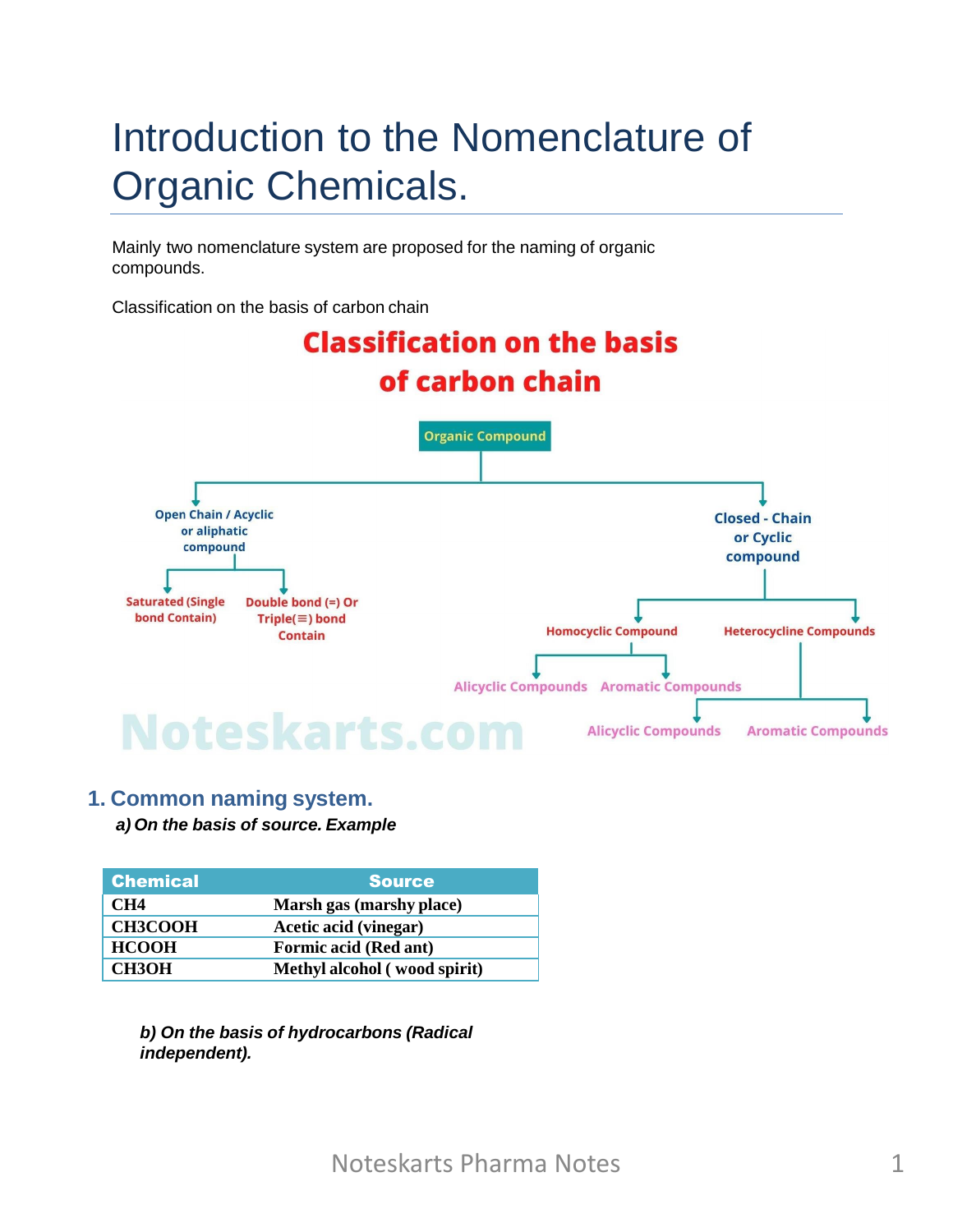# Introduction to the Nomenclature of Organic Chemicals.

Mainly two nomenclature system are proposed for the naming of organic compounds.

Classification on the basis of carbon chain



#### **1. Common naming system.** *a) On the basis of source. Example*

| <b>Chemical</b> | <b>Source</b>                |
|-----------------|------------------------------|
| CH <sub>4</sub> | Marsh gas (marshy place)     |
| <b>CH3COOH</b>  | Acetic acid (vinegar)        |
| <b>HCOOH</b>    | <b>Formic acid (Red ant)</b> |
| <b>CH3OH</b>    | Methyl alcohol (wood spirit) |

*b) On the basis of hydrocarbons (Radical independent).*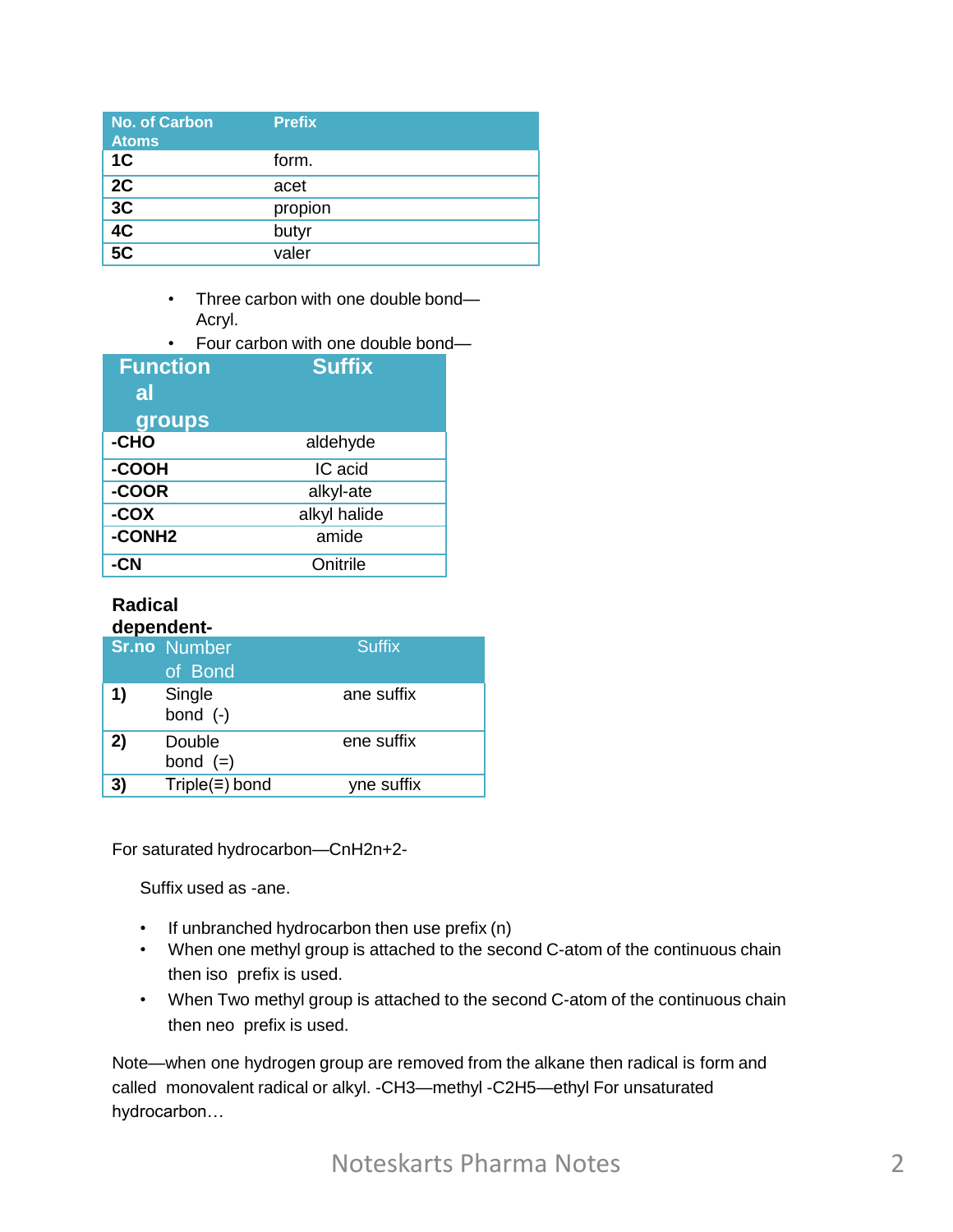| No. of Carbon<br><b>Atoms</b> | <b>Prefix</b> |
|-------------------------------|---------------|
| 1 <sup>C</sup>                | form.         |
| 2C                            | acet          |
| 3C                            | propion       |
| $\overline{4C}$               | butyr         |
| 5 <sub>C</sub>                | valer         |

- Three carbon with one double bond— Acryl.
- Four carbon with one double bond—

| <b>Function</b><br>al | <b>Suffix</b> |
|-----------------------|---------------|
| groups                |               |
| -CHO                  | aldehyde      |
| -COOH                 | IC acid       |
| -COOR                 | alkyl-ate     |
| -COX                  | alkyl halide  |
| -CONH <sub>2</sub>    | amide         |
| CΝ                    | Onitrile      |

#### **Radical dependent-**

| <b>Suffix</b><br><b>Sr.no</b> Number<br>of Bond<br>1)<br>Single<br>ane suffix<br>bond $(-)$<br>ene suffix<br>2)<br>Double<br>bond $(=)$<br>$Triple(\equiv) bond$<br>3)<br>yne suffix |  |  |
|--------------------------------------------------------------------------------------------------------------------------------------------------------------------------------------|--|--|
|                                                                                                                                                                                      |  |  |
|                                                                                                                                                                                      |  |  |
|                                                                                                                                                                                      |  |  |
|                                                                                                                                                                                      |  |  |

For saturated hydrocarbon—CnH2n+2-

Suffix used as -ane.

- If unbranched hydrocarbon then use prefix (n)
- When one methyl group is attached to the second C-atom of the continuous chain then iso prefix is used.
- When Two methyl group is attached to the second C-atom of the continuous chain then neo prefix is used.

Note—when one hydrogen group are removed from the alkane then radical is form and called monovalent radical or alkyl. -CH3—methyl -C2H5—ethyl For unsaturated hydrocarbon…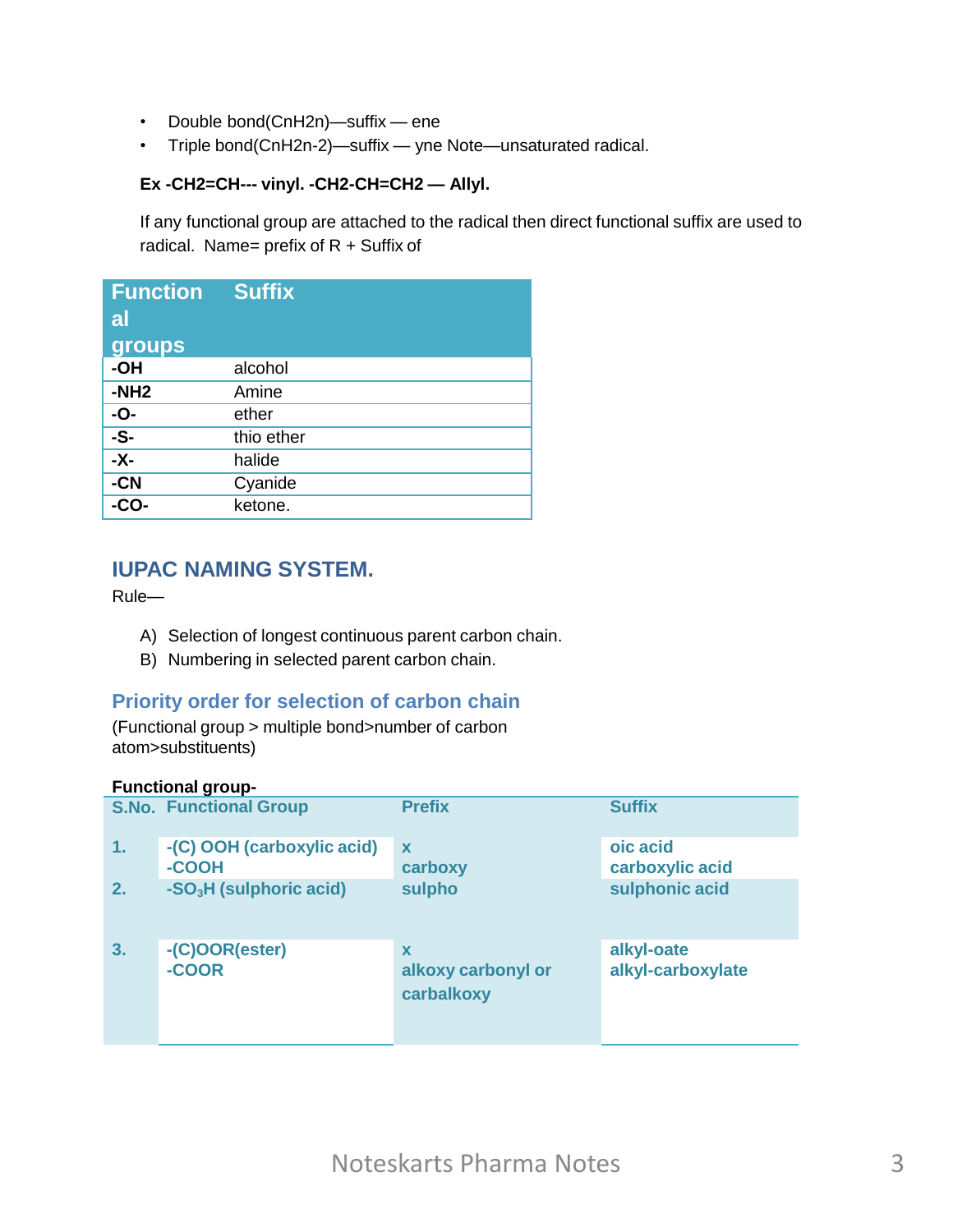- Double bond(CnH2n)—suffix ene
- Triple bond(CnH2n-2)—suffix yne Note—unsaturated radical.

#### **Ex -CH2=CH--- vinyl. -CH2-CH=CH2 — Allyl.**

If any functional group are attached to the radical then direct functional suffix are used to radical. Name= prefix of  $R +$  Suffix of

| <b>Function</b><br>al<br>groups | <b>Suffix</b> |
|---------------------------------|---------------|
| -OH                             | alcohol       |
| $-NH2$                          | Amine         |
| -O-                             | ether         |
| $-S-$                           | thio ether    |
| $-\overline{x}$                 | halide        |
| $-CN$                           | Cyanide       |
| -ငΩဝ-                           | ketone.       |

## **IUPAC NAMING SYSTEM.**

Rule—

- A) Selection of longest continuous parent carbon chain.
- B) Numbering in selected parent carbon chain.

#### **Priority order for selection of carbon chain**

(Functional group > multiple bond>number of carbon atom>substituents)

#### **Functional group-**

|    | <b>S.No. Functional Group</b>       | <b>Prefix</b>                         | <b>Suffix</b>                   |
|----|-------------------------------------|---------------------------------------|---------------------------------|
| 1. | -(C) OOH (carboxylic acid)<br>-COOH | $\boldsymbol{\mathsf{x}}$<br>carboxy  | oic acid<br>carboxylic acid     |
| 2. | -SO <sub>3</sub> H (sulphoric acid) | sulpho                                | sulphonic acid                  |
| 3. | -(C)OOR(ester)<br>-COOR             | X<br>alkoxy carbonyl or<br>carbalkoxy | alkyl-oate<br>alkyl-carboxylate |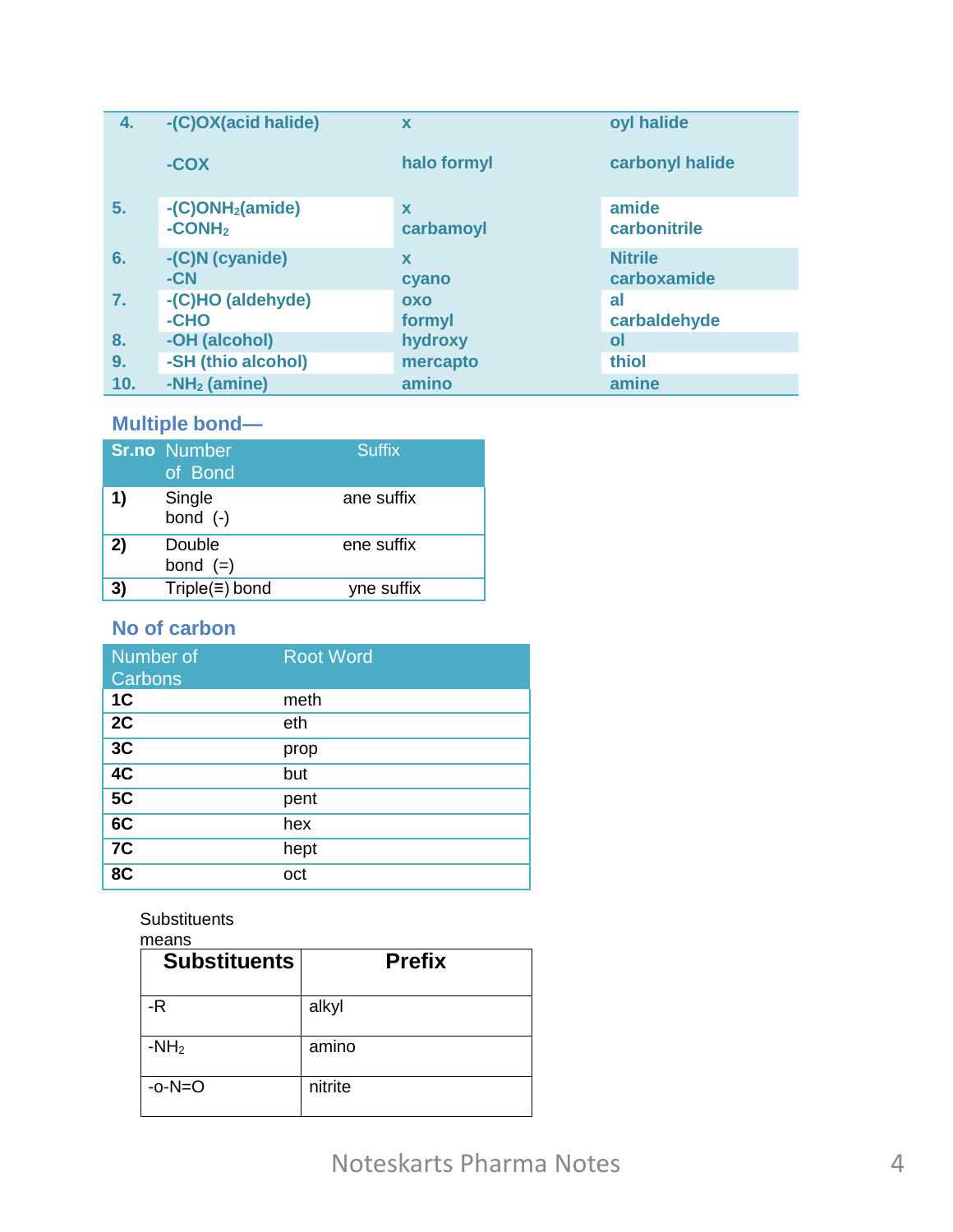| 4.             | -(C)OX(acid halide)                                  | $\mathbf x$          | oyl halide                    |
|----------------|------------------------------------------------------|----------------------|-------------------------------|
|                | $-COX$                                               | halo formyl          | carbonyl halide               |
| 5.             | $-C)$ ONH <sub>2</sub> (amide)<br>-CONH <sub>2</sub> | X<br>carbamoyl       | amide<br>carbonitrile         |
| 6.             | -(C)N (cyanide)<br>$-CN$                             | $\mathbf x$<br>cyano | <b>Nitrile</b><br>carboxamide |
| $\mathbf{7}$ . | -(C)HO (aldehyde)<br>-CHO                            | OXO<br>formyl        | al<br>carbaldehyde            |
| 8.             | -OH (alcohol)                                        | hydroxy              | οl                            |
| 9.             | -SH (thio alcohol)                                   | mercapto             | thiol                         |
| 10.            | $-NH2$ (amine)                                       | amino                | amine                         |

# Multiple bond-

|    | <b>Sr.no</b> Number<br>of Bond | <b>Suffix</b> |
|----|--------------------------------|---------------|
| 1) | Single<br>bond $(-)$           | ane suffix    |
| 2) | Double<br>bond $(=)$           | ene suffix    |
| 3) | $Triple(\equiv) bond$          | yne suffix    |

# No of carbon

| Number of<br>Carbons | <b>Root Word</b> |
|----------------------|------------------|
| 1 <sub>C</sub>       | meth             |
| 2C                   | eth              |
| 3C                   | prop             |
| 4C                   | but              |
| 5C                   | pent             |
| 6C                   | hex              |
| 7 <sub>C</sub>       | hept             |
| 8C                   | oct              |

### Substituents

| means<br><b>Substituents</b> | <b>Prefix</b> |
|------------------------------|---------------|
| -R                           | alkyl         |
| $-NH2$                       | amino         |
| $-o-N=O$                     | nitrite       |